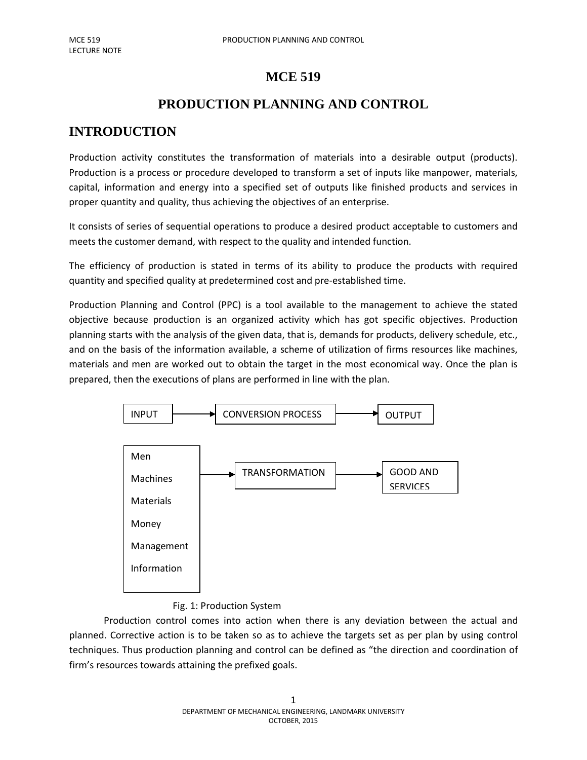## **MCE 519**

# **PRODUCTION PLANNING AND CONTROL**

# **INTRODUCTION**

Production activity constitutes the transformation of materials into a desirable output (products). Production is a process or procedure developed to transform a set of inputs like manpower, materials, capital, information and energy into a specified set of outputs like finished products and services in proper quantity and quality, thus achieving the objectives of an enterprise.

It consists of series of sequential operations to produce a desired product acceptable to customers and meets the customer demand, with respect to the quality and intended function.

The efficiency of production is stated in terms of its ability to produce the products with required quantity and specified quality at predetermined cost and pre-established time.

Production Planning and Control (PPC) is a tool available to the management to achieve the stated objective because production is an organized activity which has got specific objectives. Production planning starts with the analysis of the given data, that is, demands for products, delivery schedule, etc., and on the basis of the information available, a scheme of utilization of firms resources like machines, materials and men are worked out to obtain the target in the most economical way. Once the plan is prepared, then the executions of plans are performed in line with the plan.



## Fig. 1: Production System

Production control comes into action when there is any deviation between the actual and planned. Corrective action is to be taken so as to achieve the targets set as per plan by using control techniques. Thus production planning and control can be defined as "the direction and coordination of firm's resources towards attaining the prefixed goals.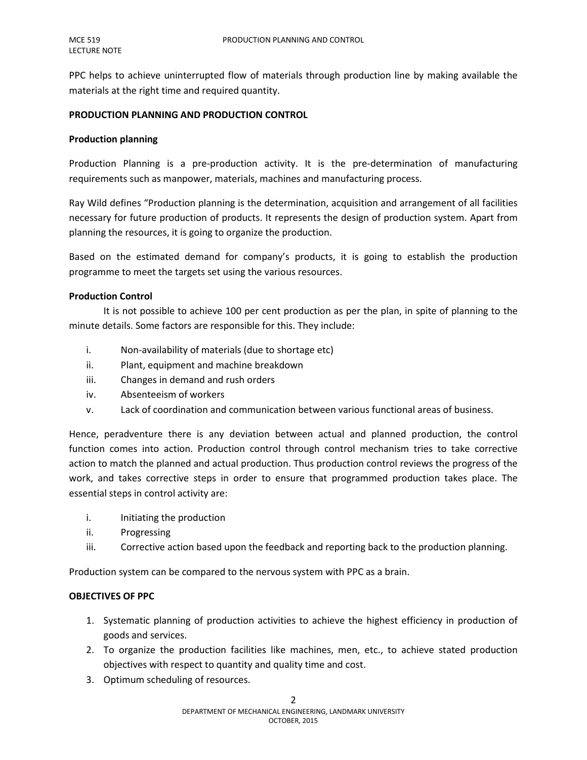PPC helps to achieve uninterrupted flow of materials through production line by making available the materials at the right time and required quantity.

#### **PRODUCTION PLANNING AND PRODUCTION CONTROL**

#### **Production planning**

Production Planning is a pre-production activity. It is the pre-determination of manufacturing requirements such as manpower, materials, machines and manufacturing process.

Ray Wild defines "Production planning is the determination, acquisition and arrangement of all facilities necessary for future production of products. It represents the design of production system. Apart from planning the resources, it is going to organize the production.

Based on the estimated demand for company's products, it is going to establish the production programme to meet the targets set using the various resources.

#### **Production Control**

It is not possible to achieve 100 per cent production as per the plan, in spite of planning to the minute details. Some factors are responsible for this. They include:

- i. Non-availability of materials (due to shortage etc)
- ii. Plant, equipment and machine breakdown
- iii. Changes in demand and rush orders
- iv. Absenteeism of workers
- v. Lack of coordination and communication between various functional areas of business.

Hence, peradventure there is any deviation between actual and planned production, the control function comes into action. Production control through control mechanism tries to take corrective action to match the planned and actual production. Thus production control reviews the progress of the work, and takes corrective steps in order to ensure that programmed production takes place. The essential steps in control activity are:

- i. Initiating the production
- ii. Progressing
- iii. Corrective action based upon the feedback and reporting back to the production planning.

Production system can be compared to the nervous system with PPC as a brain.

## **OBJECTIVES OF PPC**

- 1. Systematic planning of production activities to achieve the highest efficiency in production of goods and services.
- 2. To organize the production facilities like machines, men, etc., to achieve stated production objectives with respect to quantity and quality time and cost.
- 3. Optimum scheduling of resources.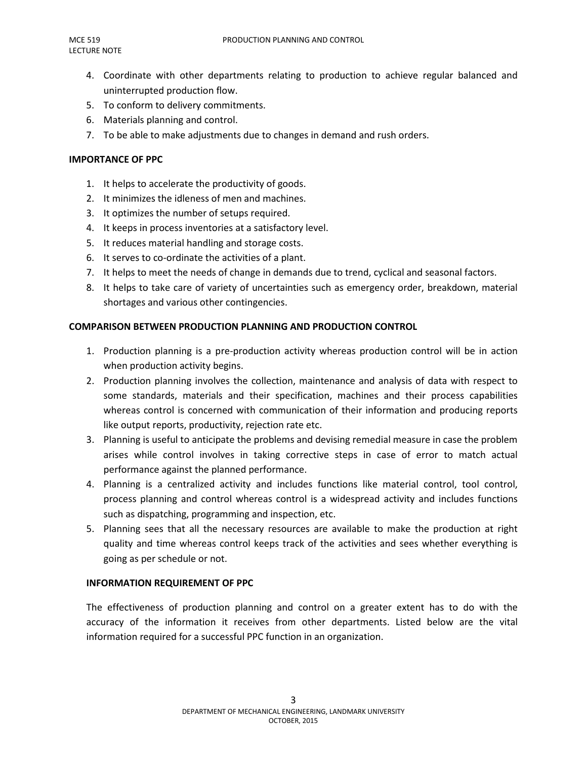- 4. Coordinate with other departments relating to production to achieve regular balanced and uninterrupted production flow.
- 5. To conform to delivery commitments.
- 6. Materials planning and control.
- 7. To be able to make adjustments due to changes in demand and rush orders.

#### **IMPORTANCE OF PPC**

- 1. It helps to accelerate the productivity of goods.
- 2. It minimizes the idleness of men and machines.
- 3. It optimizes the number of setups required.
- 4. It keeps in process inventories at a satisfactory level.
- 5. It reduces material handling and storage costs.
- 6. It serves to co-ordinate the activities of a plant.
- 7. It helps to meet the needs of change in demands due to trend, cyclical and seasonal factors.
- 8. It helps to take care of variety of uncertainties such as emergency order, breakdown, material shortages and various other contingencies.

## **COMPARISON BETWEEN PRODUCTION PLANNING AND PRODUCTION CONTROL**

- 1. Production planning is a pre-production activity whereas production control will be in action when production activity begins.
- 2. Production planning involves the collection, maintenance and analysis of data with respect to some standards, materials and their specification, machines and their process capabilities whereas control is concerned with communication of their information and producing reports like output reports, productivity, rejection rate etc.
- 3. Planning is useful to anticipate the problems and devising remedial measure in case the problem arises while control involves in taking corrective steps in case of error to match actual performance against the planned performance.
- 4. Planning is a centralized activity and includes functions like material control, tool control, process planning and control whereas control is a widespread activity and includes functions such as dispatching, programming and inspection, etc.
- 5. Planning sees that all the necessary resources are available to make the production at right quality and time whereas control keeps track of the activities and sees whether everything is going as per schedule or not.

## **INFORMATION REQUIREMENT OF PPC**

The effectiveness of production planning and control on a greater extent has to do with the accuracy of the information it receives from other departments. Listed below are the vital information required for a successful PPC function in an organization.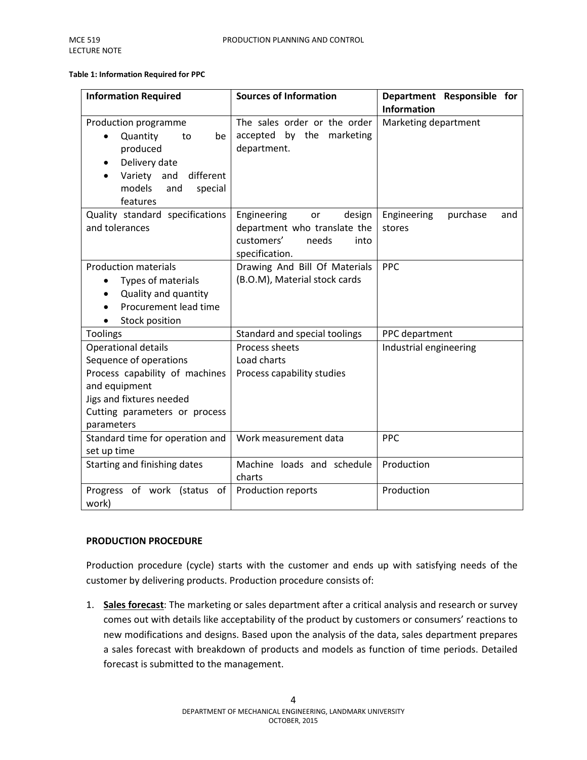#### **Table 1: Information Required for PPC**

| <b>Information Required</b>                                                                                                                                                 | <b>Sources of Information</b>                                                                                       | Department Responsible for               |
|-----------------------------------------------------------------------------------------------------------------------------------------------------------------------------|---------------------------------------------------------------------------------------------------------------------|------------------------------------------|
|                                                                                                                                                                             |                                                                                                                     | <b>Information</b>                       |
| Production programme<br>Quantity<br>be<br>to<br>produced<br>Delivery date<br>different<br>Variety and<br>models<br>and<br>special<br>features                               | The sales order or the order<br>accepted<br>by the marketing<br>department.                                         | Marketing department                     |
| Quality standard specifications<br>and tolerances                                                                                                                           | Engineering<br>design<br><b>or</b><br>department who translate the<br>customers'<br>needs<br>into<br>specification. | Engineering<br>purchase<br>and<br>stores |
| <b>Production materials</b><br>Types of materials<br>Quality and quantity<br>Procurement lead time<br>Stock position                                                        | Drawing And Bill Of Materials<br>(B.O.M), Material stock cards                                                      | PPC                                      |
| <b>Toolings</b>                                                                                                                                                             | Standard and special toolings                                                                                       | PPC department                           |
| Operational details<br>Sequence of operations<br>Process capability of machines<br>and equipment<br>Jigs and fixtures needed<br>Cutting parameters or process<br>parameters | Process sheets<br>Load charts<br>Process capability studies                                                         | Industrial engineering                   |
| Standard time for operation and<br>set up time                                                                                                                              | Work measurement data                                                                                               | <b>PPC</b>                               |
| Starting and finishing dates                                                                                                                                                | Machine loads and schedule<br>charts                                                                                | Production                               |
| Progress of work (status<br>of<br>work)                                                                                                                                     | Production reports                                                                                                  | Production                               |

#### **PRODUCTION PROCEDURE**

Production procedure (cycle) starts with the customer and ends up with satisfying needs of the customer by delivering products. Production procedure consists of:

1. **Sales forecast**: The marketing or sales department after a critical analysis and research or survey comes out with details like acceptability of the product by customers or consumers' reactions to new modifications and designs. Based upon the analysis of the data, sales department prepares a sales forecast with breakdown of products and models as function of time periods. Detailed forecast is submitted to the management.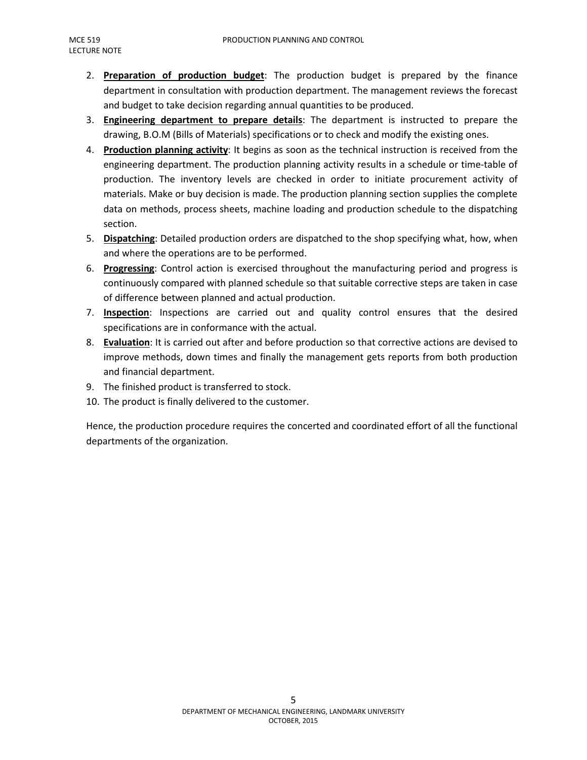- 2. Preparation of production budget: The production budget is prepared by the finance department in consultation with production department. The management reviews the forecast and budget to take decision regarding annual quantities to be produced.
- 3. **Engineering department to prepare details** : The department is instructed to prepare the drawing, B.O.M (Bills of Materials) specifications or to check and modify the existing ones.
- 4. Production planning activity: It begins as soon as the technical instruction is received from the engineering department. The production planning activity results in a schedule or time-table of production. The inventory levels are checked in order to initiate procurement activity of materials. Make or buy decision is made. The production planning section supplies the complete data on methods, process sheets, machine loading and production schedule to the dispatching section.
- 5. Dispatching: Detailed production orders are dispatched to the shop specifying what, how, when and where the operations are to be performed.
- 6. **Progressing** : Control action is exercised throughout the manufacturing period and progress is continuously compared with planned schedule so that suitable corrective steps are taken in case of difference between planned and actual production.
- 7. **Inspection**: Inspections are carried out and quality control ensures that the desired specifications are in conformance with the actual.
- 8. Evaluation: It is carried out after and before production so that corrective actions are devised to improve methods, down times and finally the management gets reports from both production and financial department.
- 9. The finished product is transferred to stock.
- 10. The product is finally delivered to the customer.

Hence, the production procedure requires the concerted and coordinated effort of all the functional departments of the organization.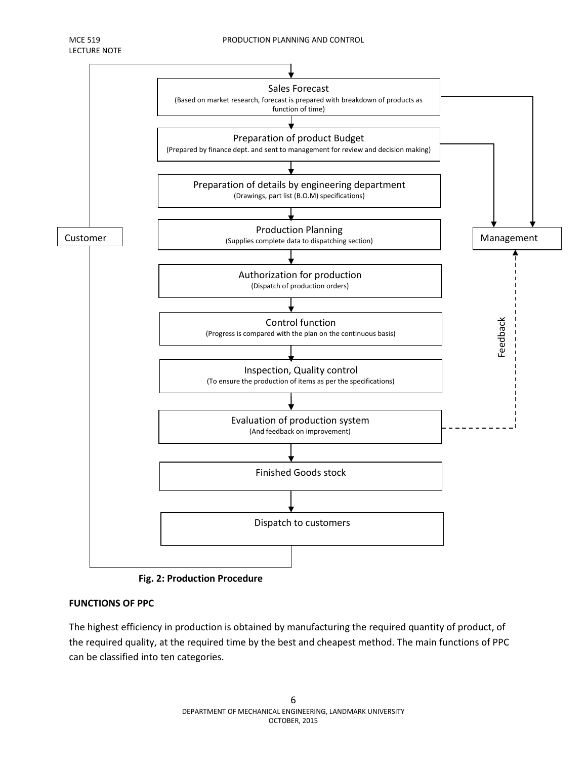

**Fig. 2: Production Procedure**

## **FUNCTIONS OF PPC**

The highest efficiency in production is obtained by manufacturing the required quantity of product, of the required quality, at the required time by the best and cheapest method. The main functions of PPC can be classified into ten categories.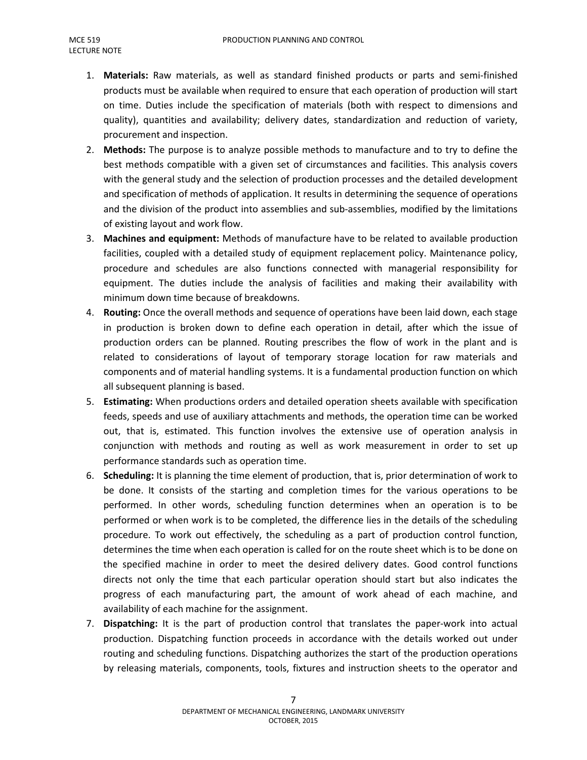- 1. **Materials:** Raw materials, as well as standard finished products or parts and semi-finished products must be available when required to ensure that each operation of production will start on time. Duties include the specification of materials (both with respect to dimensions and quality), quantities and availability; delivery dates, standardization and reduction of variety, procurement and inspection.
- 2. **Methods:** The purpose is to analyze possible methods to manufacture and to try to define the best methods compatible with a given set of circumstances and facilities. This analysis covers with the general study and the selection of production processes and the detailed development and specification of methods of application. It results in determining the sequence of operations and the division of the product into assemblies and sub-assemblies, modified by the limitations of existing layout and work flow.
- 3. **Machines and equipment:** Methods of manufacture have to be related to available production facilities, coupled with a detailed study of equipment replacement policy. Maintenance policy, procedure and schedules are also functions connected with managerial responsibility for equipment. The duties include the analysis of facilities and making their availability with minimum down time because of breakdowns.
- 4. **Routing:** Once the overall methods and sequence of operations have been laid down, each stage in production is broken down to define each operation in detail, after which the issue of production orders can be planned. Routing prescribes the flow of work in the plant and is related to considerations of layout of temporary storage location for raw materials and components and of material handling systems. It is a fundamental production function on which all subsequent planning is based.
- 5. **Estimating:** When productions orders and detailed operation sheets available with specification feeds, speeds and use of auxiliary attachments and methods, the operation time can be worked out, that is, estimated. This function involves the extensive use of operation analysis in conjunction with methods and routing as well as work measurement in order to set up performance standards such as operation time.
- 6. **Scheduling:** It is planning the time element of production, that is, prior determination of work to be done. It consists of the starting and completion times for the various operations to be performed. In other words, scheduling function determines when an operation is to be performed or when work is to be completed, the difference lies in the details of the scheduling procedure. To work out effectively, the scheduling as a part of production control function, determines the time when each operation is called for on the route sheet which is to be done on the specified machine in order to meet the desired delivery dates. Good control functions directs not only the time that each particular operation should start but also indicates the progress of each manufacturing part, the amount of work ahead of each machine, and availability of each machine for the assignment.
- 7. **Dispatching:** It is the part of production control that translates the paper-work into actual production. Dispatching function proceeds in accordance with the details worked out under routing and scheduling functions. Dispatching authorizes the start of the production operations by releasing materials, components, tools, fixtures and instruction sheets to the operator and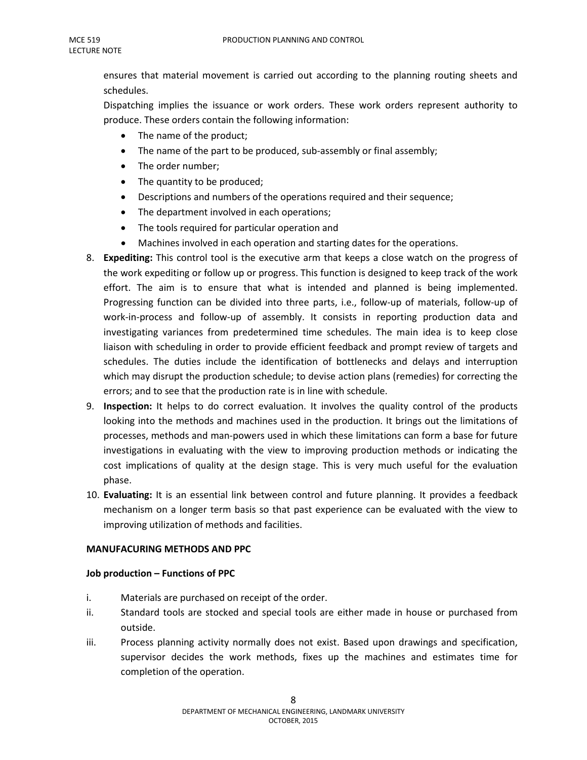ensures that material movement is carried out according to the planning routing sheets and schedules.

Dispatching implies the issuance or work orders. These work orders represent authority to produce. These orders contain the following information:

- The name of the product;
- The name of the part to be produced, sub-assembly or final assembly;
- The order number;
- The quantity to be produced;
- Descriptions and numbers of the operations required and their sequence;
- The department involved in each operations;
- The tools required for particular operation and
- Machines involved in each operation and starting dates for the operations.
- 8. **Expediting:** This control tool is the executive arm that keeps a close watch on the progress of the work expediting or follow up or progress. This function is designed to keep track of the work effort. The aim is to ensure that what is intended and planned is being implemented. Progressing function can be divided into three parts, i.e., follow-up of materials, follow-up of work-in-process and follow-up of assembly. It consists in reporting production data and investigating variances from predetermined time schedules. The main idea is to keep close liaison with scheduling in order to provide efficient feedback and prompt review of targets and schedules. The duties include the identification of bottlenecks and delays and interruption which may disrupt the production schedule; to devise action plans (remedies) for correcting the errors; and to see that the production rate is in line with schedule.
- 9. **Inspection:** It helps to do correct evaluation. It involves the quality control of the products looking into the methods and machines used in the production. It brings out the limitations of processes, methods and man-powers used in which these limitations can form a base for future investigations in evaluating with the view to improving production methods or indicating the cost implications of quality at the design stage. This is very much useful for the evaluation phase.
- 10. **Evaluating:** It is an essential link between control and future planning. It provides a feedback mechanism on a longer term basis so that past experience can be evaluated with the view to improving utilization of methods and facilities.

## **MANUFACURING METHODS AND PPC**

#### **Job production – Functions of PPC**

- i. Materials are purchased on receipt of the order.
- ii. Standard tools are stocked and special tools are either made in house or purchased from outside.
- iii. Process planning activity normally does not exist. Based upon drawings and specification, supervisor decides the work methods, fixes up the machines and estimates time for completion of the operation.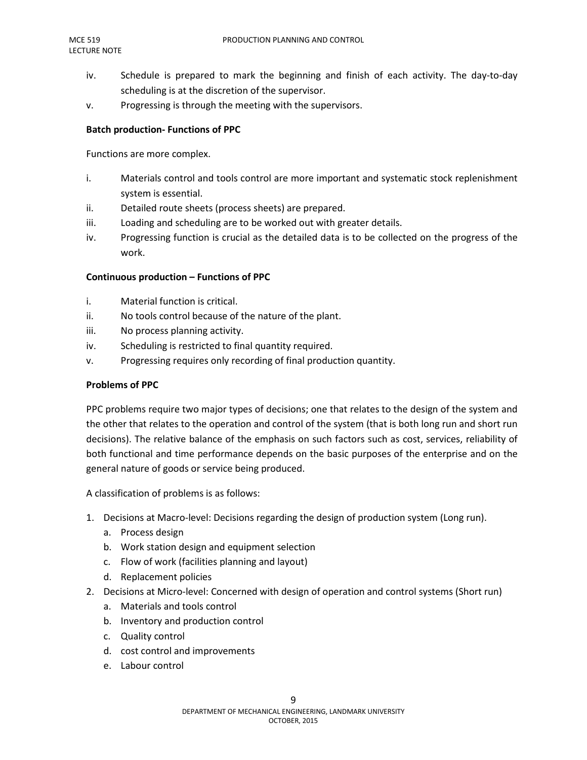- iv. Schedule is prepared to mark the beginning and finish of each activity. The day-to-day scheduling is at the discretion of the supervisor.
- v. Progressing is through the meeting with the supervisors.

## **Batch production- Functions of PPC**

Functions are more complex.

- i. Materials control and tools control are more important and systematic stock replenishment system is essential.
- ii. Detailed route sheets (process sheets) are prepared.
- iii. Loading and scheduling are to be worked out with greater details.
- iv. Progressing function is crucial as the detailed data is to be collected on the progress of the work.

## **Continuous production – Functions of PPC**

- i. Material function is critical.
- ii. No tools control because of the nature of the plant.
- iii. No process planning activity.
- iv. Scheduling is restricted to final quantity required.
- v. Progressing requires only recording of final production quantity.

## **Problems of PPC**

PPC problems require two major types of decisions; one that relates to the design of the system and the other that relates to the operation and control of the system (that is both long run and short run decisions). The relative balance of the emphasis on such factors such as cost, services, reliability of both functional and time performance depends on the basic purposes of the enterprise and on the general nature of goods or service being produced.

A classification of problems is as follows:

- 1. Decisions at Macro-level: Decisions regarding the design of production system (Long run).
	- a. Process design
	- b. Work station design and equipment selection
	- c. Flow of work (facilities planning and layout)
	- d. Replacement policies
- 2. Decisions at Micro-level: Concerned with design of operation and control systems (Short run)
	- a. Materials and tools control
	- b. Inventory and production control
	- c. Quality control
	- d. cost control and improvements
	- e. Labour control